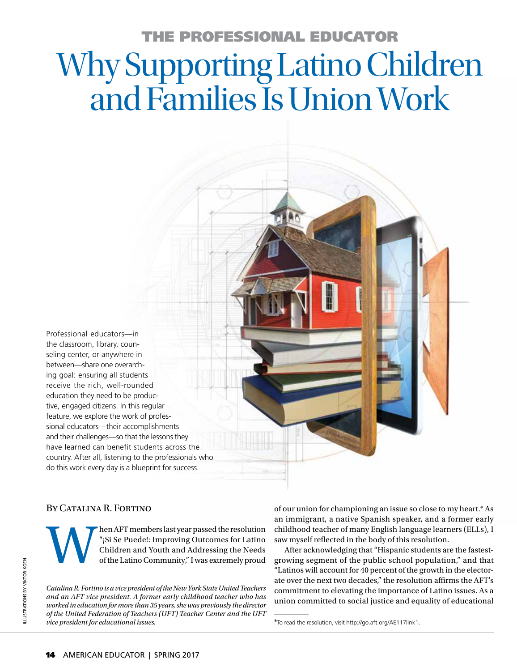# THE PROFESSIONAL EDUCATOR Why Supporting Latino Children and Families Is Union Work

Professional educators—in the classroom, library, counseling center, or anywhere in between—share one overarching goal: ensuring all students receive the rich, well-rounded education they need to be productive, engaged citizens. In this regular feature, we explore the work of professional educators—their accomplishments and their challenges—so that the lessons they have learned can benefit students across the country. After all, listening to the professionals who do this work every day is a blueprint for success.

## By Catalina R. Fortino

then AFT members last year passed the resolution<br>"¡Si Se Puede!: Improving Outcomes for Latino<br>Children and Youth and Addressing the Needs<br>of the Latino Community," I was extremely proud "¡Si Se Puede!: Improving Outcomes for Latino Children and Youth and Addressing the Needs of the Latino Community," I was extremely proud

*Catalina R. Fortino is a vice president of the New York State United Teachers and an AFT vice president. A former early childhood teacher who has worked in education for more than 35 years, she was previously the director of the United Federation of Teachers (UFT) Teacher Center and the UFT vice president for educational issues.* \*To read the resolution, visit http://go.aft.org/AE117link1.

of our union for championing an issue so close to my heart.\* As an immigrant, a native Spanish speaker, and a former early childhood teacher of many English language learners (ELLs), I saw myself reflected in the body of this resolution.

After acknowledging that "Hispanic students are the fastestgrowing segment of the public school population," and that "Latinos will account for 40 percent of the growth in the electorate over the next two decades," the resolution affirms the AFT's commitment to elevating the importance of Latino issues. As a union committed to social justice and equality of educational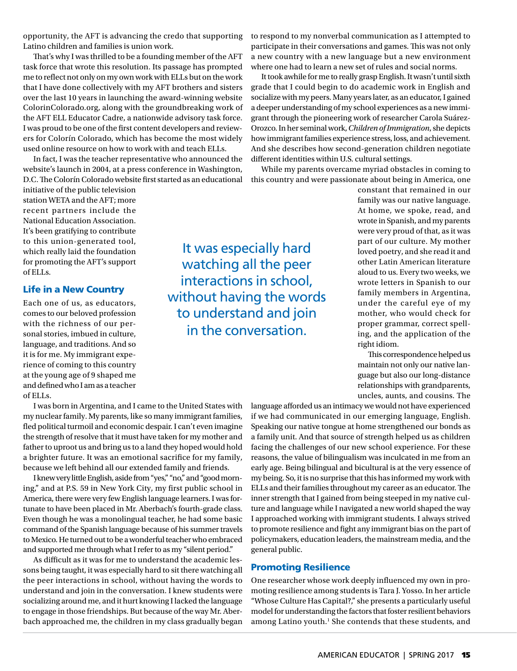opportunity, the AFT is advancing the credo that supporting Latino children and families is union work.

That's why I was thrilled to be a founding member of the AFT task force that wrote this resolution. Its passage has prompted me to reflect not only on my own work with ELLs but on the work that I have done collectively with my AFT brothers and sisters over the last 10 years in launching the award-winning website ColorinColorado.org, along with the groundbreaking work of the AFT ELL Educator Cadre, a nationwide advisory task force. I was proud to be one of the first content developers and reviewers for Colorín Colorado, which has become the most widely used online resource on how to work with and teach ELLs.

In fact, I was the teacher representative who announced the website's launch in 2004, at a press conference in Washington, D.C. The Colorín Colorado website first started as an educational

initiative of the public television station WETA and the AFT; more recent partners include the National Education Association. It's been gratifying to contribute to this union-generated tool, which really laid the foundation for promoting the AFT's support of ELLs.

### Life in a New Country

Each one of us, as educators, comes to our beloved profession with the richness of our personal stories, imbued in culture, language, and traditions. And so it is for me. My immigrant experience of coming to this country at the young age of 9 shaped me and defined who I am as a teacher of ELLs.

I was born in Argentina, and I came to the United States with my nuclear family. My parents, like so many immigrant families, fled political turmoil and economic despair. I can't even imagine the strength of resolve that it must have taken for my mother and father to uproot us and bring us to a land they hoped would hold a brighter future. It was an emotional sacrifice for my family, because we left behind all our extended family and friends.

I knew very little English, aside from "yes," "no," and "good morning," and at P.S. 59 in New York City, my first public school in America, there were very few English language learners. I was fortunate to have been placed in Mr. Aberbach's fourth-grade class. Even though he was a monolingual teacher, he had some basic command of the Spanish language because of his summer travels to Mexico. He turned out to be a wonderful teacher who embraced and supported me through what I refer to as my "silent period."

As difficult as it was for me to understand the academic lessons being taught, it was especially hard to sit there watching all the peer interactions in school, without having the words to understand and join in the conversation. I knew students were socializing around me, and it hurt knowing I lacked the language to engage in those friendships. But because of the way Mr. Aberbach approached me, the children in my class gradually began to respond to my nonverbal communication as I attempted to participate in their conversations and games. This was not only a new country with a new language but a new environment where one had to learn a new set of rules and social norms.

It took awhile for me to really grasp English. It wasn't until sixth grade that I could begin to do academic work in English and socialize with my peers. Many years later, as an educator, I gained a deeper understanding of my school experiences as a new immigrant through the pioneering work of researcher Carola Suárez-Orozco. In her seminal work, *Children of Immigration*, she depicts how immigrant families experience stress, loss, and achievement. And she describes how second-generation children negotiate different identities within U.S. cultural settings.

While my parents overcame myriad obstacles in coming to this country and were passionate about being in America, one

It was especially hard watching all the peer interactions in school, without having the words to understand and join in the conversation.

constant that remained in our family was our native language. At home, we spoke, read, and wrote in Spanish, and my parents were very proud of that, as it was part of our culture. My mother loved poetry, and she read it and other Latin American literature aloud to us. Every two weeks, we wrote letters in Spanish to our family members in Argentina, under the careful eye of my mother, who would check for proper grammar, correct spelling, and the application of the right idiom.

This correspondence helped us maintain not only our native language but also our long-distance relationships with grandparents, uncles, aunts, and cousins. The

language afforded us an intimacy we would not have experienced if we had communicated in our emerging language, English. Speaking our native tongue at home strengthened our bonds as a family unit. And that source of strength helped us as children facing the challenges of our new school experience. For these reasons, the value of bilingualism was inculcated in me from an early age. Being bilingual and bicultural is at the very essence of my being. So, it is no surprise that this has informed my work with ELLs and their families throughout my career as an educator. The inner strength that I gained from being steeped in my native culture and language while I navigated a new world shaped the way I approached working with immigrant students. I always strived to promote resilience and fight any immigrant bias on the part of policymakers, education leaders, the mainstream media, and the general public.

### Promoting Resilience

One researcher whose work deeply influenced my own in promoting resilience among students is Tara J. Yosso. In her article "Whose Culture Has Capital?," she presents a particularly useful model for understanding the factors that foster resilient behaviors among Latino youth.<sup>1</sup> She contends that these students, and